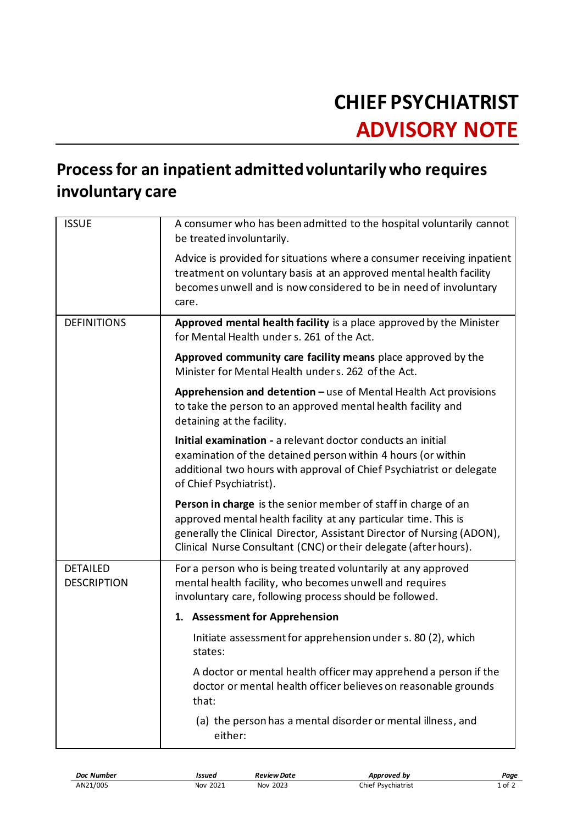## **CHIEF PSYCHIATRIST ADVISORY NOTE**

## **Process for an inpatient admitted voluntarily who requires involuntary care**

| <b>ISSUE</b>                          | A consumer who has been admitted to the hospital voluntarily cannot<br>be treated involuntarily.                                                                                                                                                                                |
|---------------------------------------|---------------------------------------------------------------------------------------------------------------------------------------------------------------------------------------------------------------------------------------------------------------------------------|
|                                       | Advice is provided for situations where a consumer receiving inpatient<br>treatment on voluntary basis at an approved mental health facility<br>becomes unwell and is now considered to be in need of involuntary<br>care.                                                      |
| <b>DEFINITIONS</b>                    | Approved mental health facility is a place approved by the Minister<br>for Mental Health under s. 261 of the Act.                                                                                                                                                               |
|                                       | Approved community care facility means place approved by the<br>Minister for Mental Health unders. 262 of the Act.                                                                                                                                                              |
|                                       | Apprehension and detention - use of Mental Health Act provisions<br>to take the person to an approved mental health facility and<br>detaining at the facility.                                                                                                                  |
|                                       | Initial examination - a relevant doctor conducts an initial<br>examination of the detained person within 4 hours (or within<br>additional two hours with approval of Chief Psychiatrist or delegate<br>of Chief Psychiatrist).                                                  |
|                                       | Person in charge is the senior member of staff in charge of an<br>approved mental health facility at any particular time. This is<br>generally the Clinical Director, Assistant Director of Nursing (ADON),<br>Clinical Nurse Consultant (CNC) or their delegate (after hours). |
| <b>DETAILED</b><br><b>DESCRIPTION</b> | For a person who is being treated voluntarily at any approved<br>mental health facility, who becomes unwell and requires<br>involuntary care, following process should be followed.                                                                                             |
|                                       | 1. Assessment for Apprehension                                                                                                                                                                                                                                                  |
|                                       | Initiate assessment for apprehension under s. 80 (2), which<br>states:                                                                                                                                                                                                          |
|                                       | A doctor or mental health officer may apprehend a person if the<br>doctor or mental health officer believes on reasonable grounds<br>that:                                                                                                                                      |
|                                       | (a) the person has a mental disorder or mental illness, and<br>either:                                                                                                                                                                                                          |